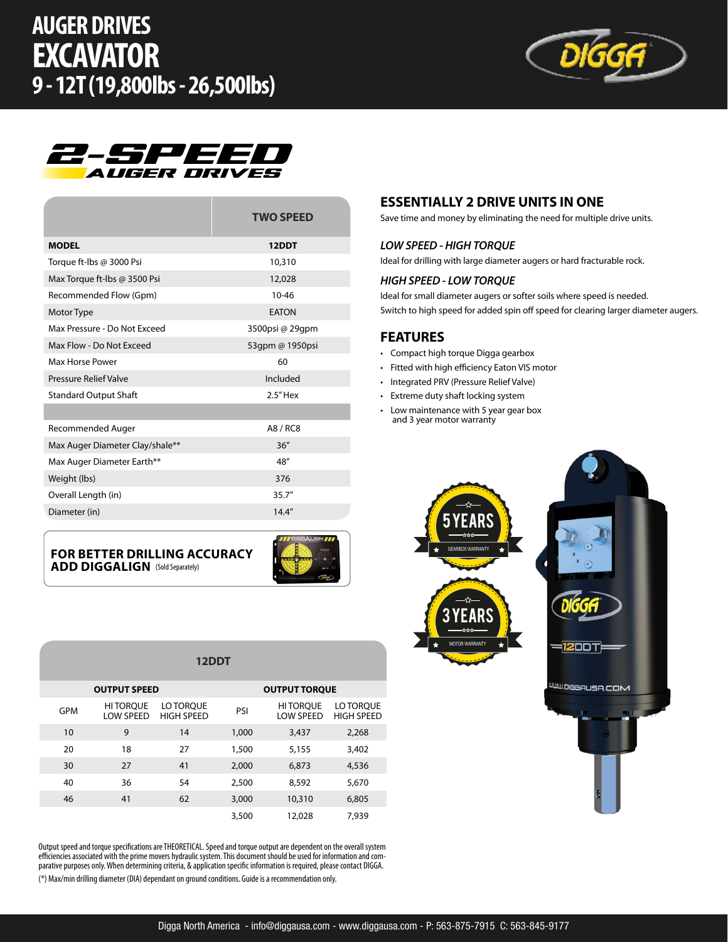



|                                 | <b>TWO SPEED</b> |
|---------------------------------|------------------|
| <b>MODEL</b>                    | 12DDT            |
| Torque ft-lbs @ 3000 Psi        | 10,310           |
| Max Torque ft-Ibs @ 3500 Psi    | 12,028           |
| Recommended Flow (Gpm)          | $10 - 46$        |
| Motor Type                      | <b>EATON</b>     |
| Max Pressure - Do Not Exceed    | 3500psi @ 29qpm  |
| Max Flow - Do Not Exceed        | 53qpm @ 1950psi  |
| Max Horse Power                 | 60               |
| <b>Pressure Relief Valve</b>    | Included         |
| <b>Standard Output Shaft</b>    | $2.5"$ Hex       |
|                                 |                  |
| Recommended Auger               | A8 / RC8         |
| Max Auger Diameter Clay/shale** | 36''             |
| Max Auger Diameter Earth**      | 48"              |
| Weight (lbs)                    | 376              |
| Overall Length (in)             | 35.7''           |
| Diameter (in)                   | 14.4''           |

**FOR BETTER DRILLING ACCURACY ADD DIGGALIGN** (Sold Separately)



3,500 12,028 7,939

#### **12DDT OUTPUT SPEED OUTPUT TORQUE** GPM HITORQUE LOW SPEED LO TORQUE LO TORQUE PSI HI TORQUE<br>HIGH SPEED PSI LOW SPEED LOW SPEED LO TORQUE HIGH SPEED 10 9 14 1,000 3,437 2,268 20 18 27 1,500 5,155 3,402 30 27 41 2,000 6,873 4,536 40 36 54 2,500 8,592 5,670

Output speed and torque specifications are THEORETICAL. Speed and torque output are dependent on the overall system efficiencies associated with the prime movers hydraulic system. This document should be used for information and comparative purposes only. When determining criteria, & application specific information is required, please contact DIGGA. (\*) Max/min drilling diameter (DIA) dependant on ground conditions. Guide is a recommendation only.

46 41 62 3,000 10,310 6,805

#### **ESSENTIALLY 2 DRIVE UNITS IN ONE**

Save time and money by eliminating the need for multiple drive units.

#### *LOW SPEED - HIGH TORQUE*

Ideal for drilling with large diameter augers or hard fracturable rock.

#### *HIGH SPEED - LOW TORQUE*

Ideal for small diameter augers or softer soils where speed is needed. Switch to high speed for added spin off speed for clearing larger diameter augers.

#### **FEATURES**

- Compact high torque Digga gearbox
- Fitted with high efficiency Eaton VIS motor
- Integrated PRV (Pressure Relief Valve)
- Extreme duty shaft locking system
- Low maintenance with 5 year gear box and 3 year motor warranty